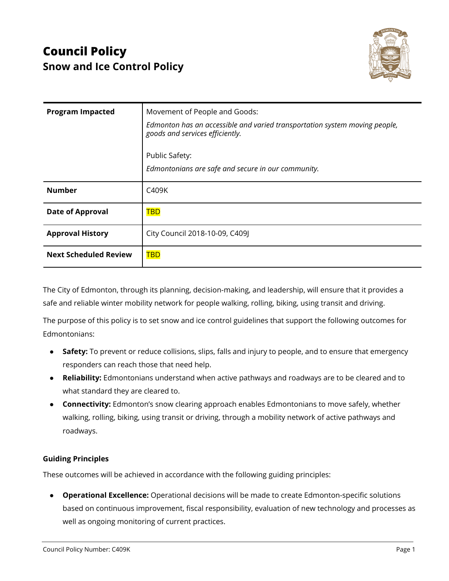

| <b>Program Impacted</b>      | Movement of People and Goods:<br>Edmonton has an accessible and varied transportation system moving people,<br>goods and services efficiently.<br>Public Safety:<br>Edmontonians are safe and secure in our community. |
|------------------------------|------------------------------------------------------------------------------------------------------------------------------------------------------------------------------------------------------------------------|
| <b>Number</b>                | C409K                                                                                                                                                                                                                  |
| <b>Date of Approval</b>      | <b>TBD</b>                                                                                                                                                                                                             |
| <b>Approval History</b>      | City Council 2018-10-09, C409J                                                                                                                                                                                         |
| <b>Next Scheduled Review</b> | <b>TBD</b>                                                                                                                                                                                                             |

The City of Edmonton, through its planning, decision-making, and leadership, will ensure that it provides a safe and reliable winter mobility network for people walking, rolling, biking, using transit and driving.

The purpose of this policy is to set snow and ice control guidelines that support the following outcomes for Edmontonians:

- **Safety:** To prevent or reduce collisions, slips, falls and injury to people, and to ensure that emergency responders can reach those that need help.
- **Reliability:** Edmontonians understand when active pathways and roadways are to be cleared and to what standard they are cleared to.
- **Connectivity:** Edmonton's snow clearing approach enables Edmontonians to move safely, whether walking, rolling, biking, using transit or driving, through a mobility network of active pathways and roadways.

## **Guiding Principles**

These outcomes will be achieved in accordance with the following guiding principles:

● **Operational Excellence:** Operational decisions will be made to create Edmonton-specific solutions based on continuous improvement, fiscal responsibility, evaluation of new technology and processes as well as ongoing monitoring of current practices.